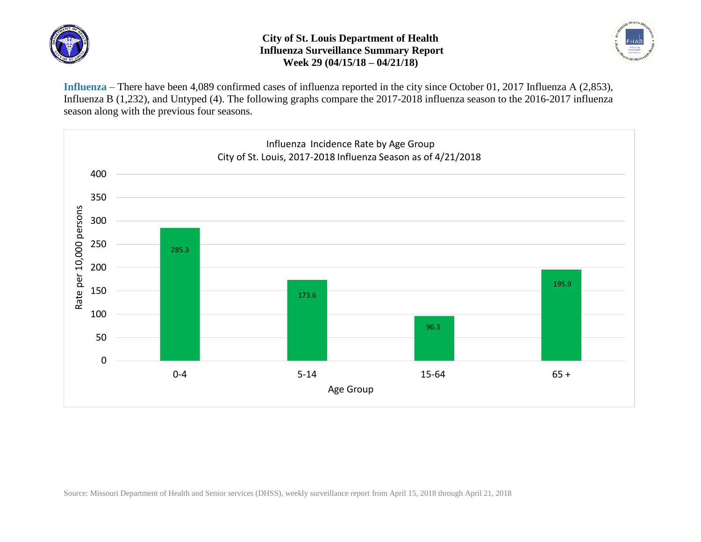

## **City of St. Louis Department of Health Influenza Surveillance Summary Report Week 29 (04/15/18 – 04/21/18)**



**Influenza** – There have been 4,089 confirmed cases of influenza reported in the city since October 01, 2017 Influenza A (2,853), Influenza B (1,232), and Untyped (4). The following graphs compare the 2017-2018 influenza season to the 2016-2017 influenza season along with the previous four seasons.